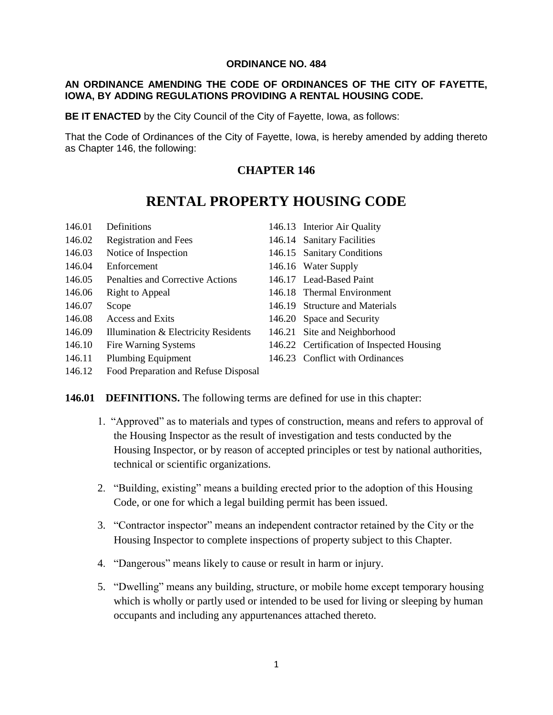#### **ORDINANCE NO. 484**

#### **AN ORDINANCE AMENDING THE CODE OF ORDINANCES OF THE CITY OF FAYETTE, IOWA, BY ADDING REGULATIONS PROVIDING A RENTAL HOUSING CODE.**

**BE IT ENACTED** by the City Council of the City of Fayette, Iowa, as follows:

That the Code of Ordinances of the City of Fayette, Iowa, is hereby amended by adding thereto as Chapter 146, the following:

# **CHAPTER 146**

# **RENTAL PROPERTY HOUSING CODE**

- 146.01 Definitions 146.13 Interior Air Quality 146.02 Registration and Fees 146.14 Sanitary Facilities 146.03 Notice of Inspection 146.15 Sanitary Conditions 146.04 Enforcement 146.16 Water Supply 146.05 Penalties and Corrective Actions 146.17 Lead-Based Paint 146.06 Right to Appeal 146.18 Thermal Environment 146.07 Scope 146.19 Structure and Materials 146.08 Access and Exits 146.20 Space and Security 146.09 Illumination & Electricity Residents 146.21 Site and Neighborhood 146.10 Fire Warning Systems 146.22 Certification of Inspected Housing 146.11 Plumbing Equipment 146.23 Conflict with Ordinances
- 146.12 Food Preparation and Refuse Disposal

#### **146.01 DEFINITIONS.** The following terms are defined for use in this chapter:

- 1. "Approved" as to materials and types of construction, means and refers to approval of the Housing Inspector as the result of investigation and tests conducted by the Housing Inspector, or by reason of accepted principles or test by national authorities, technical or scientific organizations.
- 2. "Building, existing" means a building erected prior to the adoption of this Housing Code, or one for which a legal building permit has been issued.
- 3. "Contractor inspector" means an independent contractor retained by the City or the Housing Inspector to complete inspections of property subject to this Chapter.
- 4. "Dangerous" means likely to cause or result in harm or injury.
- 5. "Dwelling" means any building, structure, or mobile home except temporary housing which is wholly or partly used or intended to be used for living or sleeping by human occupants and including any appurtenances attached thereto.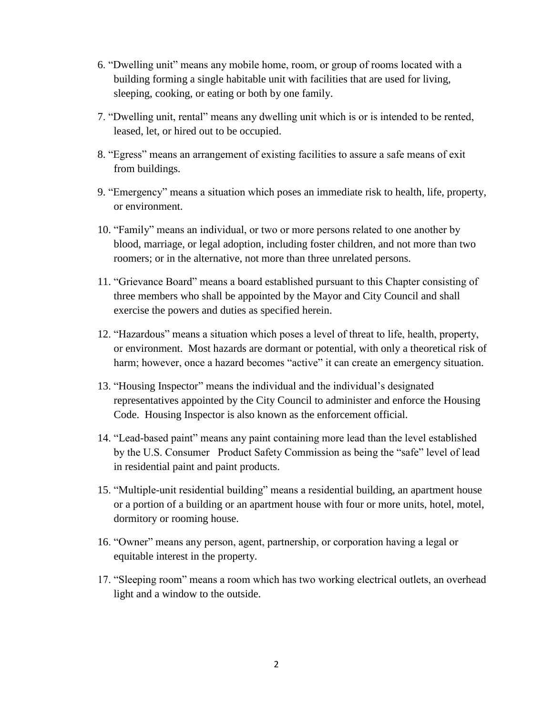- 6. "Dwelling unit" means any mobile home, room, or group of rooms located with a building forming a single habitable unit with facilities that are used for living, sleeping, cooking, or eating or both by one family.
- 7. "Dwelling unit, rental" means any dwelling unit which is or is intended to be rented, leased, let, or hired out to be occupied.
- 8. "Egress" means an arrangement of existing facilities to assure a safe means of exit from buildings.
- 9. "Emergency" means a situation which poses an immediate risk to health, life, property, or environment.
- 10. "Family" means an individual, or two or more persons related to one another by blood, marriage, or legal adoption, including foster children, and not more than two roomers; or in the alternative, not more than three unrelated persons.
- 11. "Grievance Board" means a board established pursuant to this Chapter consisting of three members who shall be appointed by the Mayor and City Council and shall exercise the powers and duties as specified herein.
- 12. "Hazardous" means a situation which poses a level of threat to life, health, property, or environment. Most hazards are dormant or potential, with only a theoretical risk of harm; however, once a hazard becomes "active" it can create an emergency situation.
- 13. "Housing Inspector" means the individual and the individual's designated representatives appointed by the City Council to administer and enforce the Housing Code. Housing Inspector is also known as the enforcement official.
- 14. "Lead-based paint" means any paint containing more lead than the level established by the U.S. Consumer Product Safety Commission as being the "safe" level of lead in residential paint and paint products.
- 15. "Multiple-unit residential building" means a residential building, an apartment house or a portion of a building or an apartment house with four or more units, hotel, motel, dormitory or rooming house.
- 16. "Owner" means any person, agent, partnership, or corporation having a legal or equitable interest in the property.
- 17. "Sleeping room" means a room which has two working electrical outlets, an overhead light and a window to the outside.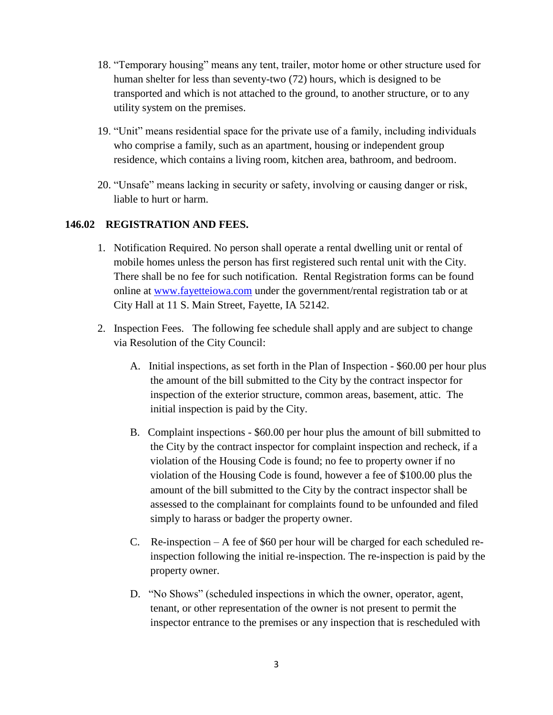- 18. "Temporary housing" means any tent, trailer, motor home or other structure used for human shelter for less than seventy-two (72) hours, which is designed to be transported and which is not attached to the ground, to another structure, or to any utility system on the premises.
- 19. "Unit" means residential space for the private use of a family, including individuals who comprise a family, such as an apartment, housing or independent group residence, which contains a living room, kitchen area, bathroom, and bedroom.
- 20. "Unsafe" means lacking in security or safety, involving or causing danger or risk, liable to hurt or harm.

### **146.02 REGISTRATION AND FEES.**

- 1. Notification Required. No person shall operate a rental dwelling unit or rental of mobile homes unless the person has first registered such rental unit with the City. There shall be no fee for such notification. Rental Registration forms can be found online at [www.fayetteiowa.com](http://www.fayetteiowa.com/) under the government/rental registration tab or at City Hall at 11 S. Main Street, Fayette, IA 52142.
- 2. Inspection Fees. The following fee schedule shall apply and are subject to change via Resolution of the City Council:
	- A. Initial inspections, as set forth in the Plan of Inspection \$60.00 per hour plus the amount of the bill submitted to the City by the contract inspector for inspection of the exterior structure, common areas, basement, attic. The initial inspection is paid by the City.
	- B. Complaint inspections \$60.00 per hour plus the amount of bill submitted to the City by the contract inspector for complaint inspection and recheck, if a violation of the Housing Code is found; no fee to property owner if no violation of the Housing Code is found, however a fee of \$100.00 plus the amount of the bill submitted to the City by the contract inspector shall be assessed to the complainant for complaints found to be unfounded and filed simply to harass or badger the property owner.
	- C. Re-inspection A fee of \$60 per hour will be charged for each scheduled reinspection following the initial re-inspection. The re-inspection is paid by the property owner.
	- D. "No Shows" (scheduled inspections in which the owner, operator, agent, tenant, or other representation of the owner is not present to permit the inspector entrance to the premises or any inspection that is rescheduled with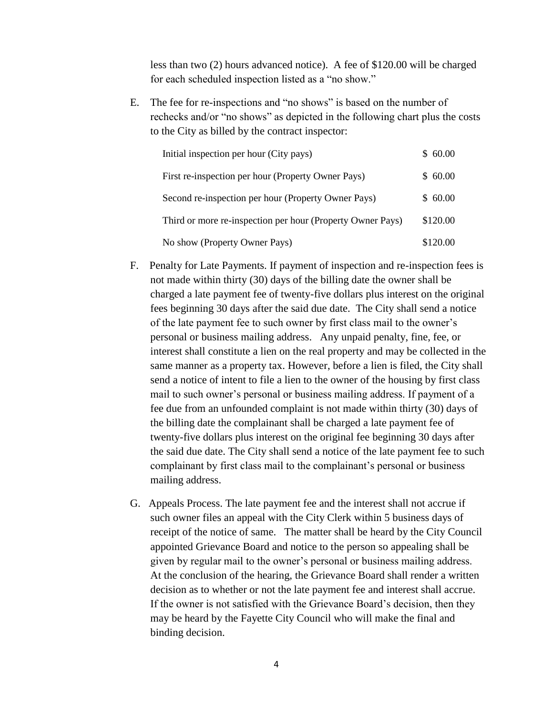less than two (2) hours advanced notice). A fee of \$120.00 will be charged for each scheduled inspection listed as a "no show."

E. The fee for re-inspections and "no shows" is based on the number of rechecks and/or "no shows" as depicted in the following chart plus the costs to the City as billed by the contract inspector:

| Initial inspection per hour (City pays)                    | \$60.00  |
|------------------------------------------------------------|----------|
| First re-inspection per hour (Property Owner Pays)         | \$60.00  |
| Second re-inspection per hour (Property Owner Pays)        | \$60.00  |
| Third or more re-inspection per hour (Property Owner Pays) | \$120.00 |
| No show (Property Owner Pays)                              | \$120.00 |

- F. Penalty for Late Payments. If payment of inspection and re-inspection fees is not made within thirty (30) days of the billing date the owner shall be charged a late payment fee of twenty-five dollars plus interest on the original fees beginning 30 days after the said due date. The City shall send a notice of the late payment fee to such owner by first class mail to the owner's personal or business mailing address. Any unpaid penalty, fine, fee, or interest shall constitute a lien on the real property and may be collected in the same manner as a property tax. However, before a lien is filed, the City shall send a notice of intent to file a lien to the owner of the housing by first class mail to such owner's personal or business mailing address. If payment of a fee due from an unfounded complaint is not made within thirty (30) days of the billing date the complainant shall be charged a late payment fee of twenty-five dollars plus interest on the original fee beginning 30 days after the said due date. The City shall send a notice of the late payment fee to such complainant by first class mail to the complainant's personal or business mailing address.
- G. Appeals Process. The late payment fee and the interest shall not accrue if such owner files an appeal with the City Clerk within 5 business days of receipt of the notice of same. The matter shall be heard by the City Council appointed Grievance Board and notice to the person so appealing shall be given by regular mail to the owner's personal or business mailing address. At the conclusion of the hearing, the Grievance Board shall render a written decision as to whether or not the late payment fee and interest shall accrue. If the owner is not satisfied with the Grievance Board's decision, then they may be heard by the Fayette City Council who will make the final and binding decision.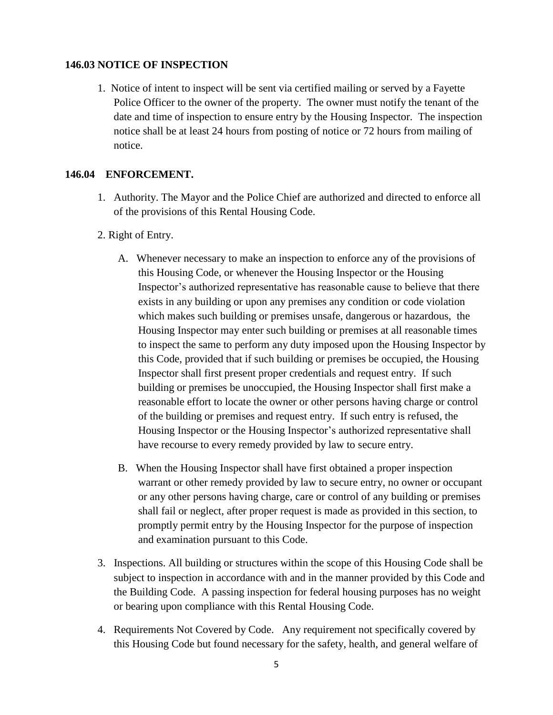#### **146.03 NOTICE OF INSPECTION**

1. Notice of intent to inspect will be sent via certified mailing or served by a Fayette Police Officer to the owner of the property. The owner must notify the tenant of the date and time of inspection to ensure entry by the Housing Inspector. The inspection notice shall be at least 24 hours from posting of notice or 72 hours from mailing of notice.

# **146.04 ENFORCEMENT.**

- 1. Authority. The Mayor and the Police Chief are authorized and directed to enforce all of the provisions of this Rental Housing Code.
- 2. Right of Entry.
	- A. Whenever necessary to make an inspection to enforce any of the provisions of this Housing Code, or whenever the Housing Inspector or the Housing Inspector's authorized representative has reasonable cause to believe that there exists in any building or upon any premises any condition or code violation which makes such building or premises unsafe, dangerous or hazardous, the Housing Inspector may enter such building or premises at all reasonable times to inspect the same to perform any duty imposed upon the Housing Inspector by this Code, provided that if such building or premises be occupied, the Housing Inspector shall first present proper credentials and request entry. If such building or premises be unoccupied, the Housing Inspector shall first make a reasonable effort to locate the owner or other persons having charge or control of the building or premises and request entry. If such entry is refused, the Housing Inspector or the Housing Inspector's authorized representative shall have recourse to every remedy provided by law to secure entry.
	- B. When the Housing Inspector shall have first obtained a proper inspection warrant or other remedy provided by law to secure entry, no owner or occupant or any other persons having charge, care or control of any building or premises shall fail or neglect, after proper request is made as provided in this section, to promptly permit entry by the Housing Inspector for the purpose of inspection and examination pursuant to this Code.
- 3. Inspections. All building or structures within the scope of this Housing Code shall be subject to inspection in accordance with and in the manner provided by this Code and the Building Code. A passing inspection for federal housing purposes has no weight or bearing upon compliance with this Rental Housing Code.
- 4. Requirements Not Covered by Code. Any requirement not specifically covered by this Housing Code but found necessary for the safety, health, and general welfare of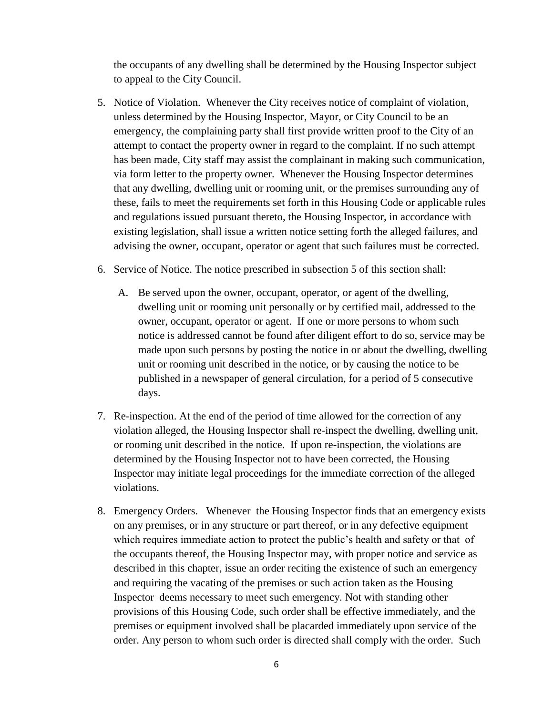the occupants of any dwelling shall be determined by the Housing Inspector subject to appeal to the City Council.

- 5. Notice of Violation. Whenever the City receives notice of complaint of violation, unless determined by the Housing Inspector, Mayor, or City Council to be an emergency, the complaining party shall first provide written proof to the City of an attempt to contact the property owner in regard to the complaint. If no such attempt has been made, City staff may assist the complainant in making such communication, via form letter to the property owner. Whenever the Housing Inspector determines that any dwelling, dwelling unit or rooming unit, or the premises surrounding any of these, fails to meet the requirements set forth in this Housing Code or applicable rules and regulations issued pursuant thereto, the Housing Inspector, in accordance with existing legislation, shall issue a written notice setting forth the alleged failures, and advising the owner, occupant, operator or agent that such failures must be corrected.
- 6. Service of Notice. The notice prescribed in subsection 5 of this section shall:
	- A. Be served upon the owner, occupant, operator, or agent of the dwelling, dwelling unit or rooming unit personally or by certified mail, addressed to the owner, occupant, operator or agent. If one or more persons to whom such notice is addressed cannot be found after diligent effort to do so, service may be made upon such persons by posting the notice in or about the dwelling, dwelling unit or rooming unit described in the notice, or by causing the notice to be published in a newspaper of general circulation, for a period of 5 consecutive days.
- 7. Re-inspection. At the end of the period of time allowed for the correction of any violation alleged, the Housing Inspector shall re-inspect the dwelling, dwelling unit, or rooming unit described in the notice. If upon re-inspection, the violations are determined by the Housing Inspector not to have been corrected, the Housing Inspector may initiate legal proceedings for the immediate correction of the alleged violations.
- 8. Emergency Orders. Whenever the Housing Inspector finds that an emergency exists on any premises, or in any structure or part thereof, or in any defective equipment which requires immediate action to protect the public's health and safety or that of the occupants thereof, the Housing Inspector may, with proper notice and service as described in this chapter, issue an order reciting the existence of such an emergency and requiring the vacating of the premises or such action taken as the Housing Inspector deems necessary to meet such emergency. Not with standing other provisions of this Housing Code, such order shall be effective immediately, and the premises or equipment involved shall be placarded immediately upon service of the order. Any person to whom such order is directed shall comply with the order. Such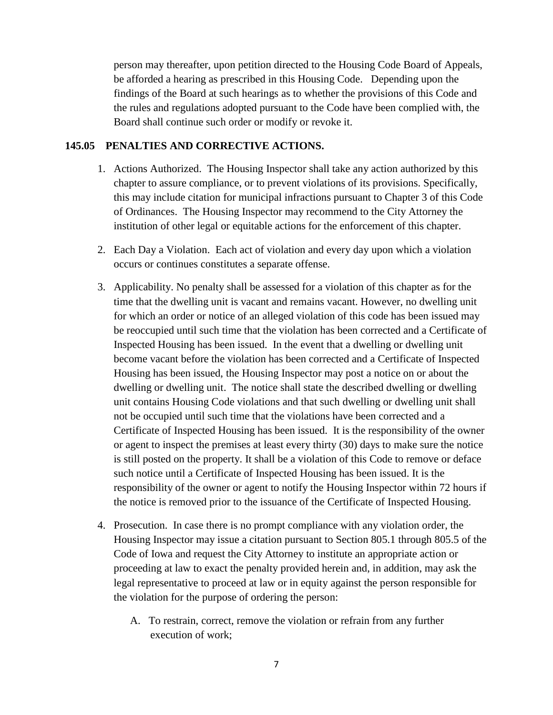person may thereafter, upon petition directed to the Housing Code Board of Appeals, be afforded a hearing as prescribed in this Housing Code. Depending upon the findings of the Board at such hearings as to whether the provisions of this Code and the rules and regulations adopted pursuant to the Code have been complied with, the Board shall continue such order or modify or revoke it.

#### **145.05 PENALTIES AND CORRECTIVE ACTIONS.**

- 1. Actions Authorized. The Housing Inspector shall take any action authorized by this chapter to assure compliance, or to prevent violations of its provisions. Specifically, this may include citation for municipal infractions pursuant to Chapter 3 of this Code of Ordinances. The Housing Inspector may recommend to the City Attorney the institution of other legal or equitable actions for the enforcement of this chapter.
- 2. Each Day a Violation. Each act of violation and every day upon which a violation occurs or continues constitutes a separate offense.
- 3. Applicability. No penalty shall be assessed for a violation of this chapter as for the time that the dwelling unit is vacant and remains vacant. However, no dwelling unit for which an order or notice of an alleged violation of this code has been issued may be reoccupied until such time that the violation has been corrected and a Certificate of Inspected Housing has been issued. In the event that a dwelling or dwelling unit become vacant before the violation has been corrected and a Certificate of Inspected Housing has been issued, the Housing Inspector may post a notice on or about the dwelling or dwelling unit. The notice shall state the described dwelling or dwelling unit contains Housing Code violations and that such dwelling or dwelling unit shall not be occupied until such time that the violations have been corrected and a Certificate of Inspected Housing has been issued. It is the responsibility of the owner or agent to inspect the premises at least every thirty (30) days to make sure the notice is still posted on the property. It shall be a violation of this Code to remove or deface such notice until a Certificate of Inspected Housing has been issued. It is the responsibility of the owner or agent to notify the Housing Inspector within 72 hours if the notice is removed prior to the issuance of the Certificate of Inspected Housing.
- 4. Prosecution. In case there is no prompt compliance with any violation order, the Housing Inspector may issue a citation pursuant to Section 805.1 through 805.5 of the Code of Iowa and request the City Attorney to institute an appropriate action or proceeding at law to exact the penalty provided herein and, in addition, may ask the legal representative to proceed at law or in equity against the person responsible for the violation for the purpose of ordering the person:
	- A. To restrain, correct, remove the violation or refrain from any further execution of work;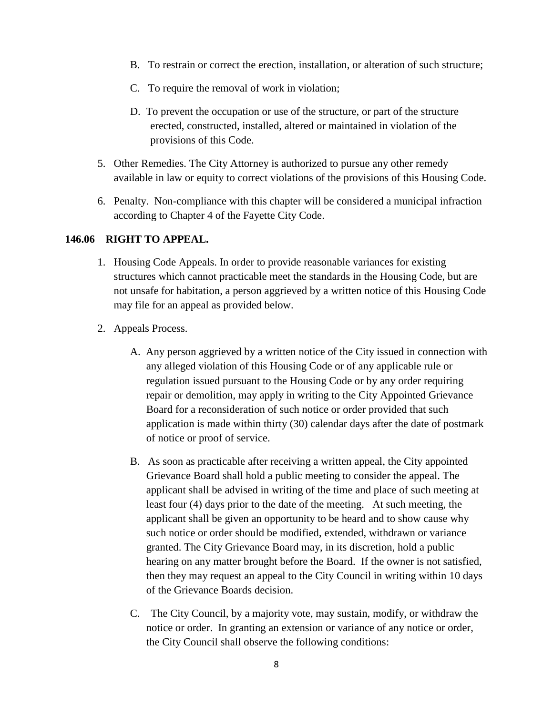- B. To restrain or correct the erection, installation, or alteration of such structure;
- C. To require the removal of work in violation;
- D. To prevent the occupation or use of the structure, or part of the structure erected, constructed, installed, altered or maintained in violation of the provisions of this Code.
- 5. Other Remedies. The City Attorney is authorized to pursue any other remedy available in law or equity to correct violations of the provisions of this Housing Code.
- 6. Penalty. Non-compliance with this chapter will be considered a municipal infraction according to Chapter 4 of the Fayette City Code.

#### **146.06 RIGHT TO APPEAL.**

- 1. Housing Code Appeals. In order to provide reasonable variances for existing structures which cannot practicable meet the standards in the Housing Code, but are not unsafe for habitation, a person aggrieved by a written notice of this Housing Code may file for an appeal as provided below.
- 2. Appeals Process.
	- A. Any person aggrieved by a written notice of the City issued in connection with any alleged violation of this Housing Code or of any applicable rule or regulation issued pursuant to the Housing Code or by any order requiring repair or demolition, may apply in writing to the City Appointed Grievance Board for a reconsideration of such notice or order provided that such application is made within thirty (30) calendar days after the date of postmark of notice or proof of service.
	- B. As soon as practicable after receiving a written appeal, the City appointed Grievance Board shall hold a public meeting to consider the appeal. The applicant shall be advised in writing of the time and place of such meeting at least four (4) days prior to the date of the meeting. At such meeting, the applicant shall be given an opportunity to be heard and to show cause why such notice or order should be modified, extended, withdrawn or variance granted. The City Grievance Board may, in its discretion, hold a public hearing on any matter brought before the Board. If the owner is not satisfied, then they may request an appeal to the City Council in writing within 10 days of the Grievance Boards decision.
	- C. The City Council, by a majority vote, may sustain, modify, or withdraw the notice or order. In granting an extension or variance of any notice or order, the City Council shall observe the following conditions: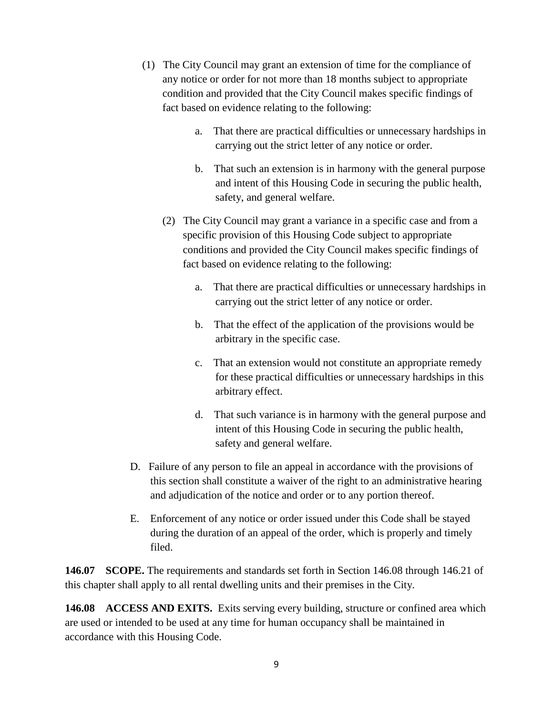- (1) The City Council may grant an extension of time for the compliance of any notice or order for not more than 18 months subject to appropriate condition and provided that the City Council makes specific findings of fact based on evidence relating to the following:
	- a. That there are practical difficulties or unnecessary hardships in carrying out the strict letter of any notice or order.
	- b. That such an extension is in harmony with the general purpose and intent of this Housing Code in securing the public health, safety, and general welfare.
	- (2) The City Council may grant a variance in a specific case and from a specific provision of this Housing Code subject to appropriate conditions and provided the City Council makes specific findings of fact based on evidence relating to the following:
		- a. That there are practical difficulties or unnecessary hardships in carrying out the strict letter of any notice or order.
		- b. That the effect of the application of the provisions would be arbitrary in the specific case.
		- c. That an extension would not constitute an appropriate remedy for these practical difficulties or unnecessary hardships in this arbitrary effect.
		- d. That such variance is in harmony with the general purpose and intent of this Housing Code in securing the public health, safety and general welfare.
- D. Failure of any person to file an appeal in accordance with the provisions of this section shall constitute a waiver of the right to an administrative hearing and adjudication of the notice and order or to any portion thereof.
- E. Enforcement of any notice or order issued under this Code shall be stayed during the duration of an appeal of the order, which is properly and timely filed.

**146.07 SCOPE.** The requirements and standards set forth in Section 146.08 through 146.21 of this chapter shall apply to all rental dwelling units and their premises in the City.

**146.08 ACCESS AND EXITS.** Exits serving every building, structure or confined area which are used or intended to be used at any time for human occupancy shall be maintained in accordance with this Housing Code.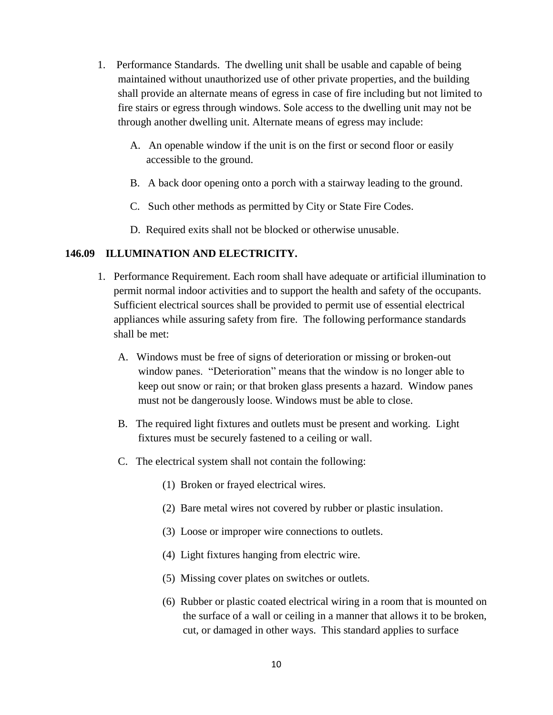- 1. Performance Standards. The dwelling unit shall be usable and capable of being maintained without unauthorized use of other private properties, and the building shall provide an alternate means of egress in case of fire including but not limited to fire stairs or egress through windows. Sole access to the dwelling unit may not be through another dwelling unit. Alternate means of egress may include:
	- A. An openable window if the unit is on the first or second floor or easily accessible to the ground.
	- B. A back door opening onto a porch with a stairway leading to the ground.
	- C. Such other methods as permitted by City or State Fire Codes.
	- D. Required exits shall not be blocked or otherwise unusable.

### **146.09 ILLUMINATION AND ELECTRICITY.**

- 1. Performance Requirement. Each room shall have adequate or artificial illumination to permit normal indoor activities and to support the health and safety of the occupants. Sufficient electrical sources shall be provided to permit use of essential electrical appliances while assuring safety from fire. The following performance standards shall be met:
	- A. Windows must be free of signs of deterioration or missing or broken-out window panes. "Deterioration" means that the window is no longer able to keep out snow or rain; or that broken glass presents a hazard. Window panes must not be dangerously loose. Windows must be able to close.
	- B. The required light fixtures and outlets must be present and working. Light fixtures must be securely fastened to a ceiling or wall.
	- C. The electrical system shall not contain the following:
		- (1) Broken or frayed electrical wires.
		- (2) Bare metal wires not covered by rubber or plastic insulation.
		- (3) Loose or improper wire connections to outlets.
		- (4) Light fixtures hanging from electric wire.
		- (5) Missing cover plates on switches or outlets.
		- (6) Rubber or plastic coated electrical wiring in a room that is mounted on the surface of a wall or ceiling in a manner that allows it to be broken, cut, or damaged in other ways. This standard applies to surface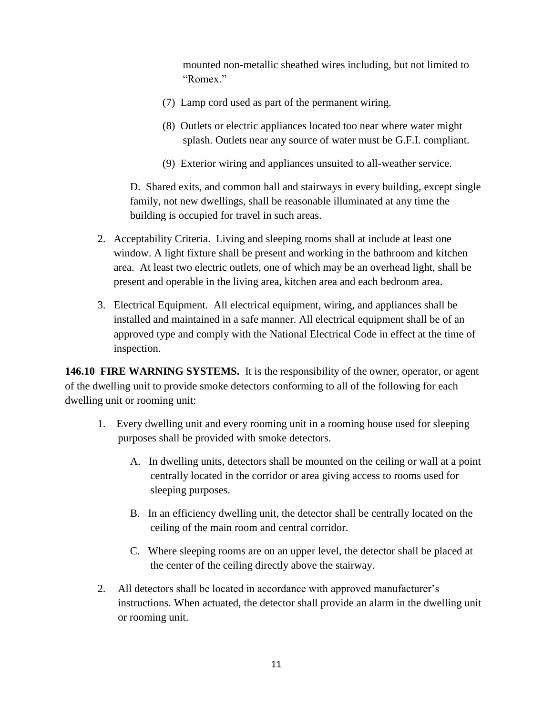mounted non-metallic sheathed wires including, but not limited to "Romex."

- (7) Lamp cord used as part of the permanent wiring.
- (8) Outlets or electric appliances located too near where water might splash. Outlets near any source of water must be G.F.I. compliant.
- (9) Exterior wiring and appliances unsuited to all-weather service.

D. Shared exits, and common hall and stairways in every building, except single family, not new dwellings, shall be reasonable illuminated at any time the building is occupied for travel in such areas.

- 2. Acceptability Criteria. Living and sleeping rooms shall at include at least one window. A light fixture shall be present and working in the bathroom and kitchen area. At least two electric outlets, one of which may be an overhead light, shall be present and operable in the living area, kitchen area and each bedroom area.
- 3. Electrical Equipment. All electrical equipment, wiring, and appliances shall be installed and maintained in a safe manner. All electrical equipment shall be of an approved type and comply with the National Electrical Code in effect at the time of inspection.

**146.10 FIRE WARNING SYSTEMS.** It is the responsibility of the owner, operator, or agent of the dwelling unit to provide smoke detectors conforming to all of the following for each dwelling unit or rooming unit:

- 1. Every dwelling unit and every rooming unit in a rooming house used for sleeping purposes shall be provided with smoke detectors.
	- A. In dwelling units, detectors shall be mounted on the ceiling or wall at a point centrally located in the corridor or area giving access to rooms used for sleeping purposes.
	- B. In an efficiency dwelling unit, the detector shall be centrally located on the ceiling of the main room and central corridor.
	- C. Where sleeping rooms are on an upper level, the detector shall be placed at the center of the ceiling directly above the stairway.
- 2. All detectors shall be located in accordance with approved manufacturer's instructions. When actuated, the detector shall provide an alarm in the dwelling unit or rooming unit.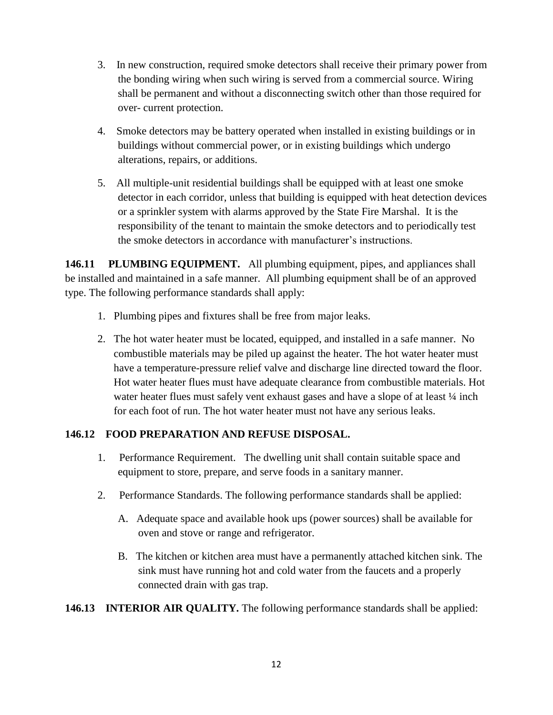- 3. In new construction, required smoke detectors shall receive their primary power from the bonding wiring when such wiring is served from a commercial source. Wiring shall be permanent and without a disconnecting switch other than those required for over- current protection.
- 4. Smoke detectors may be battery operated when installed in existing buildings or in buildings without commercial power, or in existing buildings which undergo alterations, repairs, or additions.
- 5. All multiple-unit residential buildings shall be equipped with at least one smoke detector in each corridor, unless that building is equipped with heat detection devices or a sprinkler system with alarms approved by the State Fire Marshal. It is the responsibility of the tenant to maintain the smoke detectors and to periodically test the smoke detectors in accordance with manufacturer's instructions.

**146.11 PLUMBING EQUIPMENT.** All plumbing equipment, pipes, and appliances shall be installed and maintained in a safe manner. All plumbing equipment shall be of an approved type. The following performance standards shall apply:

- 1. Plumbing pipes and fixtures shall be free from major leaks.
- 2. The hot water heater must be located, equipped, and installed in a safe manner. No combustible materials may be piled up against the heater. The hot water heater must have a temperature-pressure relief valve and discharge line directed toward the floor. Hot water heater flues must have adequate clearance from combustible materials. Hot water heater flues must safely vent exhaust gases and have a slope of at least  $\frac{1}{4}$  inch for each foot of run. The hot water heater must not have any serious leaks.

# **146.12 FOOD PREPARATION AND REFUSE DISPOSAL.**

- 1. Performance Requirement. The dwelling unit shall contain suitable space and equipment to store, prepare, and serve foods in a sanitary manner.
- 2. Performance Standards. The following performance standards shall be applied:
	- A. Adequate space and available hook ups (power sources) shall be available for oven and stove or range and refrigerator.
	- B. The kitchen or kitchen area must have a permanently attached kitchen sink. The sink must have running hot and cold water from the faucets and a properly connected drain with gas trap.
- **146.13 INTERIOR AIR QUALITY.** The following performance standards shall be applied: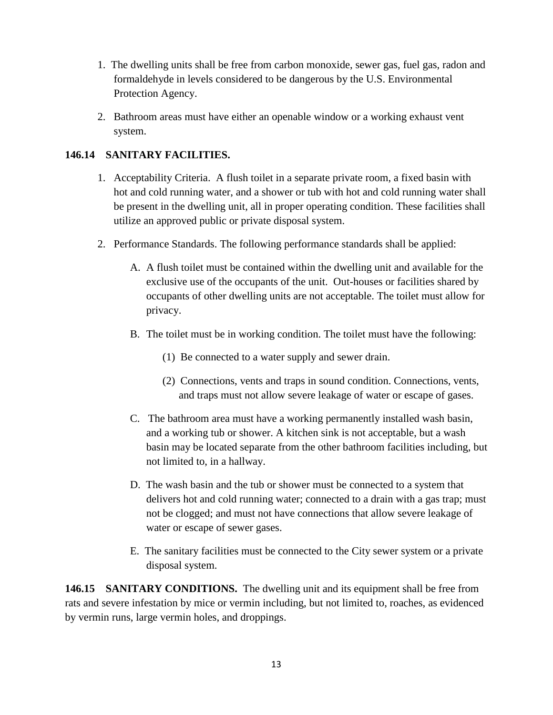- 1. The dwelling units shall be free from carbon monoxide, sewer gas, fuel gas, radon and formaldehyde in levels considered to be dangerous by the U.S. Environmental Protection Agency.
- 2. Bathroom areas must have either an openable window or a working exhaust vent system.

# **146.14 SANITARY FACILITIES.**

- 1. Acceptability Criteria. A flush toilet in a separate private room, a fixed basin with hot and cold running water, and a shower or tub with hot and cold running water shall be present in the dwelling unit, all in proper operating condition. These facilities shall utilize an approved public or private disposal system.
- 2. Performance Standards. The following performance standards shall be applied:
	- A. A flush toilet must be contained within the dwelling unit and available for the exclusive use of the occupants of the unit. Out-houses or facilities shared by occupants of other dwelling units are not acceptable. The toilet must allow for privacy.
	- B. The toilet must be in working condition. The toilet must have the following:
		- (1) Be connected to a water supply and sewer drain.
		- (2) Connections, vents and traps in sound condition. Connections, vents, and traps must not allow severe leakage of water or escape of gases.
	- C. The bathroom area must have a working permanently installed wash basin, and a working tub or shower. A kitchen sink is not acceptable, but a wash basin may be located separate from the other bathroom facilities including, but not limited to, in a hallway.
	- D. The wash basin and the tub or shower must be connected to a system that delivers hot and cold running water; connected to a drain with a gas trap; must not be clogged; and must not have connections that allow severe leakage of water or escape of sewer gases.
	- E. The sanitary facilities must be connected to the City sewer system or a private disposal system.

**146.15 SANITARY CONDITIONS.** The dwelling unit and its equipment shall be free from rats and severe infestation by mice or vermin including, but not limited to, roaches, as evidenced by vermin runs, large vermin holes, and droppings.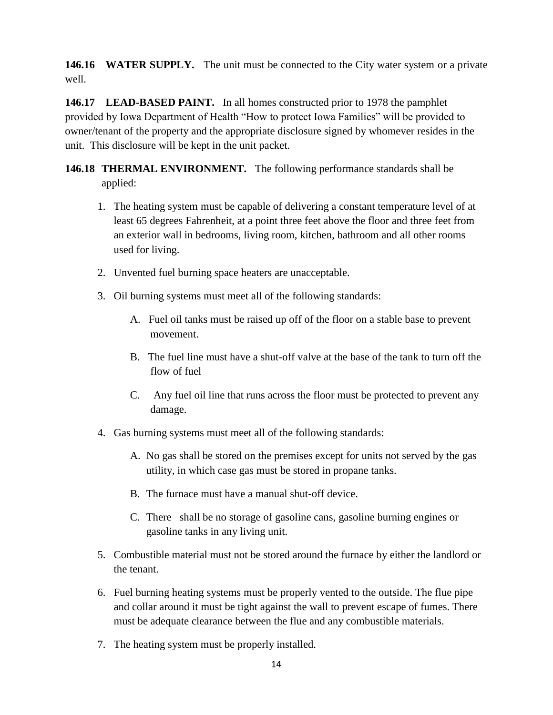**146.16 WATER SUPPLY.** The unit must be connected to the City water system or a private well.

**146.17 LEAD-BASED PAINT.** In all homes constructed prior to 1978 the pamphlet provided by Iowa Department of Health "How to protect Iowa Families" will be provided to owner/tenant of the property and the appropriate disclosure signed by whomever resides in the unit. This disclosure will be kept in the unit packet.

**146.18 THERMAL ENVIRONMENT.** The following performance standards shall be applied:

- 1. The heating system must be capable of delivering a constant temperature level of at least 65 degrees Fahrenheit, at a point three feet above the floor and three feet from an exterior wall in bedrooms, living room, kitchen, bathroom and all other rooms used for living.
- 2. Unvented fuel burning space heaters are unacceptable.
- 3. Oil burning systems must meet all of the following standards:
	- A. Fuel oil tanks must be raised up off of the floor on a stable base to prevent movement.
	- B. The fuel line must have a shut-off valve at the base of the tank to turn off the flow of fuel
	- C. Any fuel oil line that runs across the floor must be protected to prevent any damage.
- 4. Gas burning systems must meet all of the following standards:
	- A. No gas shall be stored on the premises except for units not served by the gas utility, in which case gas must be stored in propane tanks.
	- B. The furnace must have a manual shut-off device.
	- C. There shall be no storage of gasoline cans, gasoline burning engines or gasoline tanks in any living unit.
- 5. Combustible material must not be stored around the furnace by either the landlord or the tenant.
- 6. Fuel burning heating systems must be properly vented to the outside. The flue pipe and collar around it must be tight against the wall to prevent escape of fumes. There must be adequate clearance between the flue and any combustible materials.
- 7. The heating system must be properly installed.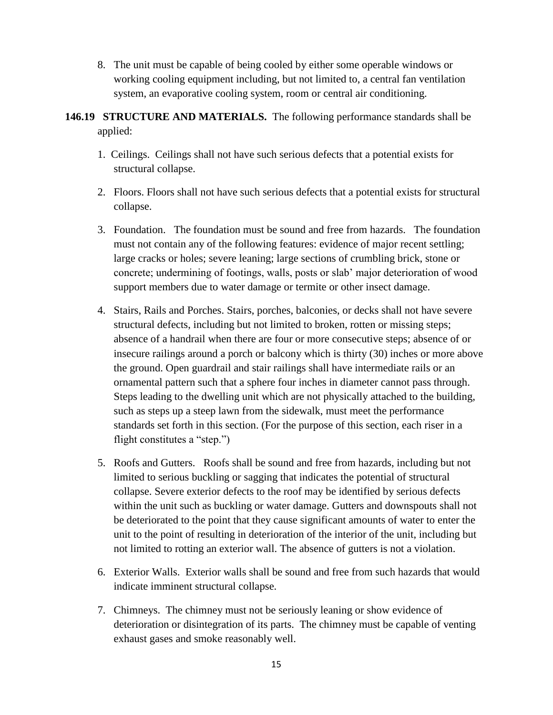- 8. The unit must be capable of being cooled by either some operable windows or working cooling equipment including, but not limited to, a central fan ventilation system, an evaporative cooling system, room or central air conditioning.
- **146.19 STRUCTURE AND MATERIALS.** The following performance standards shall be applied:
	- 1. Ceilings. Ceilings shall not have such serious defects that a potential exists for structural collapse.
	- 2. Floors. Floors shall not have such serious defects that a potential exists for structural collapse.
	- 3. Foundation. The foundation must be sound and free from hazards. The foundation must not contain any of the following features: evidence of major recent settling; large cracks or holes; severe leaning; large sections of crumbling brick, stone or concrete; undermining of footings, walls, posts or slab' major deterioration of wood support members due to water damage or termite or other insect damage.
	- 4. Stairs, Rails and Porches. Stairs, porches, balconies, or decks shall not have severe structural defects, including but not limited to broken, rotten or missing steps; absence of a handrail when there are four or more consecutive steps; absence of or insecure railings around a porch or balcony which is thirty (30) inches or more above the ground. Open guardrail and stair railings shall have intermediate rails or an ornamental pattern such that a sphere four inches in diameter cannot pass through. Steps leading to the dwelling unit which are not physically attached to the building, such as steps up a steep lawn from the sidewalk, must meet the performance standards set forth in this section. (For the purpose of this section, each riser in a flight constitutes a "step.")
	- 5. Roofs and Gutters. Roofs shall be sound and free from hazards, including but not limited to serious buckling or sagging that indicates the potential of structural collapse. Severe exterior defects to the roof may be identified by serious defects within the unit such as buckling or water damage. Gutters and downspouts shall not be deteriorated to the point that they cause significant amounts of water to enter the unit to the point of resulting in deterioration of the interior of the unit, including but not limited to rotting an exterior wall. The absence of gutters is not a violation.
	- 6. Exterior Walls. Exterior walls shall be sound and free from such hazards that would indicate imminent structural collapse.
	- 7. Chimneys. The chimney must not be seriously leaning or show evidence of deterioration or disintegration of its parts. The chimney must be capable of venting exhaust gases and smoke reasonably well.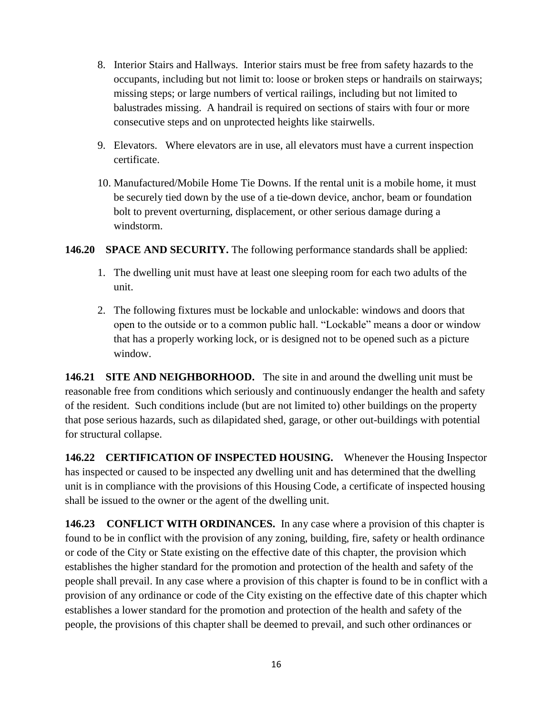- 8. Interior Stairs and Hallways. Interior stairs must be free from safety hazards to the occupants, including but not limit to: loose or broken steps or handrails on stairways; missing steps; or large numbers of vertical railings, including but not limited to balustrades missing. A handrail is required on sections of stairs with four or more consecutive steps and on unprotected heights like stairwells.
- 9. Elevators. Where elevators are in use, all elevators must have a current inspection certificate.
- 10. Manufactured/Mobile Home Tie Downs. If the rental unit is a mobile home, it must be securely tied down by the use of a tie-down device, anchor, beam or foundation bolt to prevent overturning, displacement, or other serious damage during a windstorm.

# **146.20 SPACE AND SECURITY.** The following performance standards shall be applied:

- 1. The dwelling unit must have at least one sleeping room for each two adults of the unit.
- 2. The following fixtures must be lockable and unlockable: windows and doors that open to the outside or to a common public hall. "Lockable" means a door or window that has a properly working lock, or is designed not to be opened such as a picture window.

**146.21 SITE AND NEIGHBORHOOD.** The site in and around the dwelling unit must be reasonable free from conditions which seriously and continuously endanger the health and safety of the resident. Such conditions include (but are not limited to) other buildings on the property that pose serious hazards, such as dilapidated shed, garage, or other out-buildings with potential for structural collapse.

**146.22 CERTIFICATION OF INSPECTED HOUSING.** Whenever the Housing Inspector has inspected or caused to be inspected any dwelling unit and has determined that the dwelling unit is in compliance with the provisions of this Housing Code, a certificate of inspected housing shall be issued to the owner or the agent of the dwelling unit.

**146.23 CONFLICT WITH ORDINANCES.** In any case where a provision of this chapter is found to be in conflict with the provision of any zoning, building, fire, safety or health ordinance or code of the City or State existing on the effective date of this chapter, the provision which establishes the higher standard for the promotion and protection of the health and safety of the people shall prevail. In any case where a provision of this chapter is found to be in conflict with a provision of any ordinance or code of the City existing on the effective date of this chapter which establishes a lower standard for the promotion and protection of the health and safety of the people, the provisions of this chapter shall be deemed to prevail, and such other ordinances or